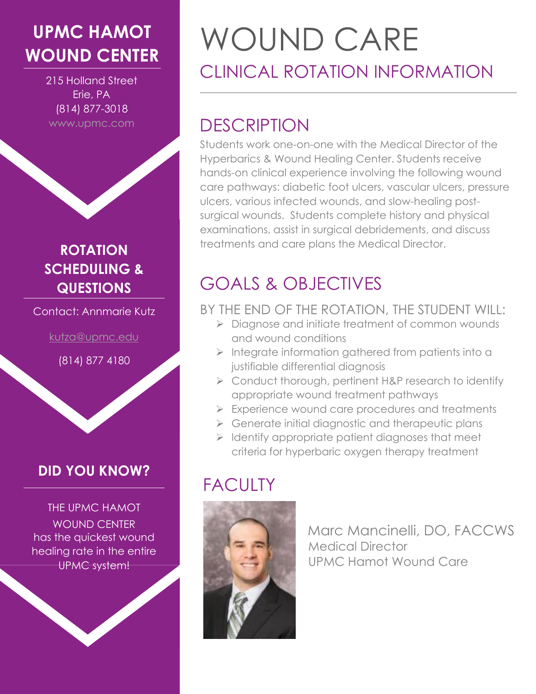# **UPMC HAMOT**

215 Holland Street Erie, PA (814) 877-3018 www.upmc.com

#### **ROTATION SCHEDULING & QUESTIONS**

Contact: Annmarie Kutz

[kutza@upmc.edu](mailto:kutza@upmc.edu)

(814) 877 4180

#### **DID YOU KNOW?**

THE UPMC HAMOT WOUND CENTER has the quickest wound healing rate in the entire UPMC system!

# **WOUND CENTER** WOUND CARE CLINICAL ROTATION INFORMATION

# **DESCRIPTION**

Students work one-on-one with the Medical Director of the Hyperbarics & Wound Healing Center. Students receive hands-on clinical experience involving the following wound care pathways: diabetic foot ulcers, vascular ulcers, pressure ulcers, various infected wounds, and slow-healing postsurgical wounds. Students complete history and physical examinations, assist in surgical debridements, and discuss treatments and care plans the Medical Director.

# GOALS & OBJECTIVES

#### BY THE END OF THE ROTATION, THE STUDENT WILL:

- $\triangleright$  Diagnose and initiate treatment of common wounds and wound conditions
- $\triangleright$  Integrate information gathered from patients into a justifiable differential diagnosis
- ▶ Conduct thorough, pertinent H&P research to identify appropriate wound treatment pathways
- Experience wound care procedures and treatments
- $\triangleright$  Generate initial diagnostic and therapeutic plans
- $\triangleright$  Identify appropriate patient diagnoses that meet criteria for hyperbaric oxygen therapy treatment

# **FACULTY**



 Marc Mancinelli, DO, FACCWS Medical Director UPMC Hamot Wound Care